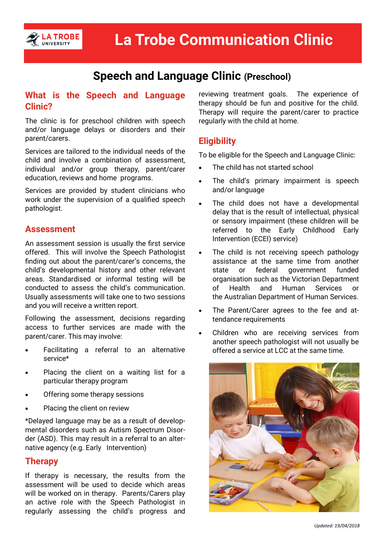

# **Speech and Language Clinic (Preschool)**

#### **What is the Speech and Language Clinic?**

The clinic is for preschool children with speech and/or language delays or disorders and their parent/carers.

Services are tailored to the individual needs of the child and involve a combination of assessment, individual and/or group therapy, parent/carer education, reviews and home programs.

Services are provided by student clinicians who work under the supervision of a qualified speech pathologist.

#### **Assessment**

An assessment session is usually the first service offered. This will involve the Speech Pathologist finding out about the parent/carer's concerns, the child's developmental history and other relevant areas. Standardised or informal testing will be conducted to assess the child's communication. Usually assessments will take one to two sessions and you will receive a written report.

Following the assessment, decisions regarding access to further services are made with the parent/carer. This may involve:

- Facilitating a referral to an alternative service\*
- Placing the client on a waiting list for a particular therapy program
- Offering some therapy sessions
- Placing the client on review

\*Delayed language may be as a result of developmental disorders such as Autism Spectrum Disorder (ASD). This may result in a referral to an alternative agency (e.g. Early Intervention)

# **Therapy**

If therapy is necessary, the results from the assessment will be used to decide which areas will be worked on in therapy. Parents/Carers play an active role with the Speech Pathologist in regularly assessing the child's progress and

reviewing treatment goals. The experience of therapy should be fun and positive for the child. Therapy will require the parent/carer to practice regularly with the child at home.

# **Eligibility**

To be eligible for the Speech and Language Clinic:

- The child has not started school
- The child's primary impairment is speech and/or language
- The child does not have a developmental delay that is the result of intellectual, physical or sensory impairment (these children will be referred to the Early Childhood Early Intervention (ECEI) service)
- The child is not receiving speech pathology assistance at the same time from another state or federal government funded organisation such as the Victorian Department of Health and Human Services or the Australian Department of Human Services.
- The Parent/Carer agrees to the fee and attendance requirements
- Children who are receiving services from another speech pathologist will not usually be offered a service at LCC at the same time.